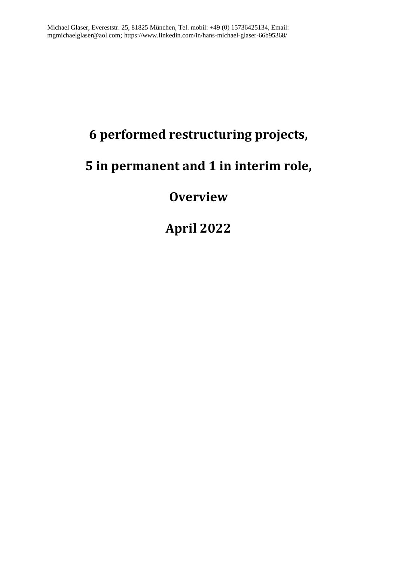# **6 performed restructuring projects,**

## **5 in permanent and 1 in interim role,**

## **Overview**

**April 2022**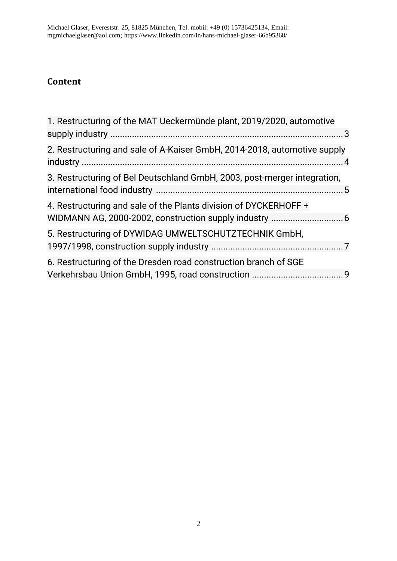### **Content**

| 1. Restructuring of the MAT Ueckermünde plant, 2019/2020, automotive     |
|--------------------------------------------------------------------------|
|                                                                          |
| 2. Restructuring and sale of A-Kaiser GmbH, 2014-2018, automotive supply |
| 3. Restructuring of Bel Deutschland GmbH, 2003, post-merger integration, |
| 4. Restructuring and sale of the Plants division of DYCKERHOFF +         |
| 5. Restructuring of DYWIDAG UMWELTSCHUTZTECHNIK GmbH,                    |
| 6. Restructuring of the Dresden road construction branch of SGE          |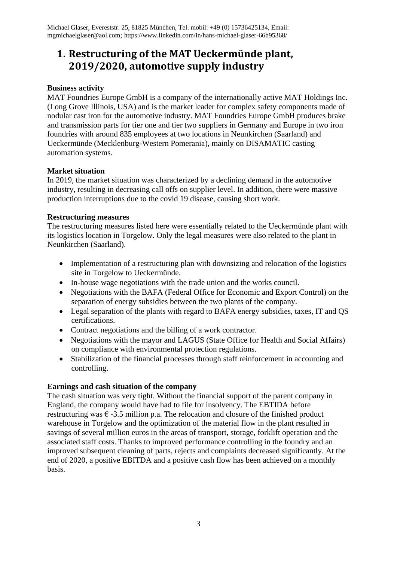### **1. Restructuring of the MAT Ueckermünde plant, 2019/2020, automotive supply industry**

#### **Business activity**

MAT Foundries Europe GmbH is a company of the internationally active MAT Holdings Inc. (Long Grove Illinois, USA) and is the market leader for complex safety components made of nodular cast iron for the automotive industry. MAT Foundries Europe GmbH produces brake and transmission parts for tier one and tier two suppliers in Germany and Europe in two iron foundries with around 835 employees at two locations in Neunkirchen (Saarland) and Ueckermünde (Mecklenburg-Western Pomerania), mainly on DISAMATIC casting automation systems.

#### **Market situation**

In 2019, the market situation was characterized by a declining demand in the automotive industry, resulting in decreasing call offs on supplier level. In addition, there were massive production interruptions due to the covid 19 disease, causing short work.

#### **Restructuring measures**

The restructuring measures listed here were essentially related to the Ueckermünde plant with its logistics location in Torgelow. Only the legal measures were also related to the plant in Neunkirchen (Saarland).

- Implementation of a restructuring plan with downsizing and relocation of the logistics site in Torgelow to Ueckermünde.
- In-house wage negotiations with the trade union and the works council.
- Negotiations with the BAFA (Federal Office for Economic and Export Control) on the separation of energy subsidies between the two plants of the company.
- Legal separation of the plants with regard to BAFA energy subsidies, taxes, IT and OS certifications.
- Contract negotiations and the billing of a work contractor.
- Negotiations with the mayor and LAGUS (State Office for Health and Social Affairs) on compliance with environmental protection regulations.
- Stabilization of the financial processes through staff reinforcement in accounting and controlling.

#### **Earnings and cash situation of the company**

The cash situation was very tight. Without the financial support of the parent company in England, the company would have had to file for insolvency. The EBTIDA before restructuring was  $\epsilon$  -3.5 million p.a. The relocation and closure of the finished product warehouse in Torgelow and the optimization of the material flow in the plant resulted in savings of several million euros in the areas of transport, storage, forklift operation and the associated staff costs. Thanks to improved performance controlling in the foundry and an improved subsequent cleaning of parts, rejects and complaints decreased significantly. At the end of 2020, a positive EBITDA and a positive cash flow has been achieved on a monthly basis.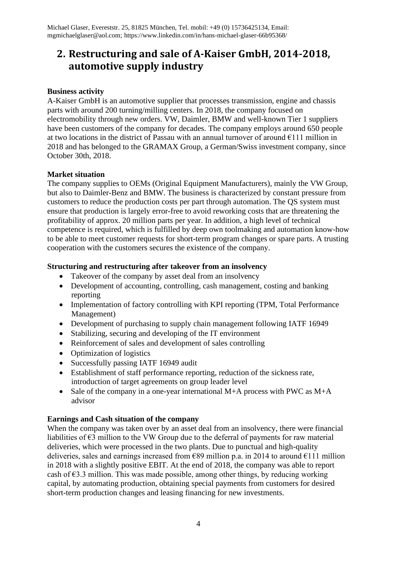### **2. Restructuring and sale of A-Kaiser GmbH, 2014-2018, automotive supply industry**

#### **Business activity**

A-Kaiser GmbH is an automotive supplier that processes transmission, engine and chassis parts with around 200 turning/milling centers. In 2018, the company focused on electromobility through new orders. VW, Daimler, BMW and well-known Tier 1 suppliers have been customers of the company for decades. The company employs around 650 people at two locations in the district of Passau with an annual turnover of around  $E111$  million in 2018 and has belonged to the GRAMAX Group, a German/Swiss investment company, since October 30th, 2018.

#### **Market situation**

The company supplies to OEMs (Original Equipment Manufacturers), mainly the VW Group, but also to Daimler-Benz and BMW. The business is characterized by constant pressure from customers to reduce the production costs per part through automation. The QS system must ensure that production is largely error-free to avoid reworking costs that are threatening the profitability of approx. 20 million parts per year. In addition, a high level of technical competence is required, which is fulfilled by deep own toolmaking and automation know-how to be able to meet customer requests for short-term program changes or spare parts. A trusting cooperation with the customers secures the existence of the company.

#### **Structuring and restructuring after takeover from an insolvency**

- Takeover of the company by asset deal from an insolvency
- Development of accounting, controlling, cash management, costing and banking reporting
- Implementation of factory controlling with KPI reporting (TPM, Total Performance Management)
- Development of purchasing to supply chain management following IATF 16949
- Stabilizing, securing and developing of the IT environment
- Reinforcement of sales and development of sales controlling
- Optimization of logistics
- Successfully passing IATF 16949 audit
- Establishment of staff performance reporting, reduction of the sickness rate, introduction of target agreements on group leader level
- Sale of the company in a one-year international M+A process with PWC as M+A advisor

#### **Earnings and Cash situation of the company**

When the company was taken over by an asset deal from an insolvency, there were financial liabilities of  $\epsilon$ 3 million to the VW Group due to the deferral of payments for raw material deliveries, which were processed in the two plants. Due to punctual and high-quality deliveries, sales and earnings increased from  $\epsilon$ 89 million p.a. in 2014 to around  $\epsilon$ 111 million in 2018 with a slightly positive EBIT. At the end of 2018, the company was able to report cash of  $\epsilon$ 3.3 million. This was made possible, among other things, by reducing working capital, by automating production, obtaining special payments from customers for desired short-term production changes and leasing financing for new investments.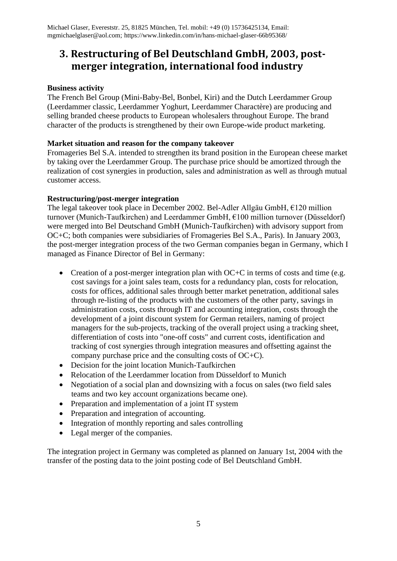### **3. Restructuring of Bel Deutschland GmbH, 2003, postmerger integration, international food industry**

#### **Business activity**

The French Bel Group (Mini-Baby-Bel, Bonbel, Kiri) and the Dutch Leerdammer Group (Leerdammer classic, Leerdammer Yoghurt, Leerdammer Charactère) are producing and selling branded cheese products to European wholesalers throughout Europe. The brand character of the products is strengthened by their own Europe-wide product marketing.

#### **Market situation and reason for the company takeover**

Fromageries Bel S.A. intended to strengthen its brand position in the European cheese market by taking over the Leerdammer Group. The purchase price should be amortized through the realization of cost synergies in production, sales and administration as well as through mutual customer access.

#### **Restructuring/post-merger integration**

The legal takeover took place in December 2002. Bel-Adler Allgäu GmbH, €120 million turnover (Munich-Taufkirchen) and Leerdammer GmbH, €100 million turnover (Düsseldorf) were merged into Bel Deutschand GmbH (Munich-Taufkirchen) with advisory support from OC+C; both companies were subsidiaries of Fromageries Bel S.A., Paris). In January 2003, the post-merger integration process of the two German companies began in Germany, which I managed as Finance Director of Bel in Germany:

- Creation of a post-merger integration plan with OC+C in terms of costs and time (e.g. cost savings for a joint sales team, costs for a redundancy plan, costs for relocation, costs for offices, additional sales through better market penetration, additional sales through re-listing of the products with the customers of the other party, savings in administration costs, costs through IT and accounting integration, costs through the development of a joint discount system for German retailers, naming of project managers for the sub-projects, tracking of the overall project using a tracking sheet, differentiation of costs into "one-off costs" and current costs, identification and tracking of cost synergies through integration measures and offsetting against the company purchase price and the consulting costs of OC+C).
- Decision for the joint location Munich-Taufkirchen
- Relocation of the Leerdammer location from Düsseldorf to Munich
- Negotiation of a social plan and downsizing with a focus on sales (two field sales teams and two key account organizations became one).
- Preparation and implementation of a joint IT system
- Preparation and integration of accounting.
- Integration of monthly reporting and sales controlling
- Legal merger of the companies.

The integration project in Germany was completed as planned on January 1st, 2004 with the transfer of the posting data to the joint posting code of Bel Deutschland GmbH.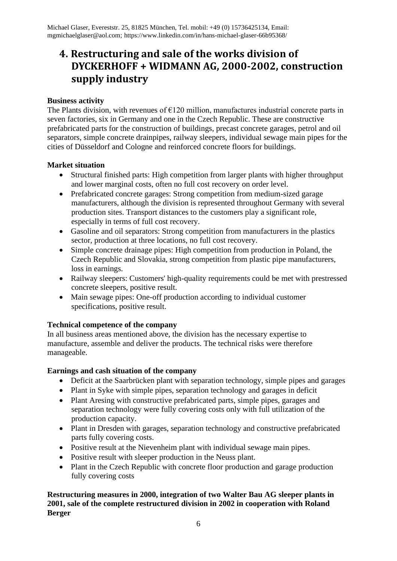### **4. Restructuring and sale of the works division of DYCKERHOFF + WIDMANN AG, 2000-2002, construction supply industry**

#### **Business activity**

The Plants division, with revenues of  $E120$  million, manufactures industrial concrete parts in seven factories, six in Germany and one in the Czech Republic. These are constructive prefabricated parts for the construction of buildings, precast concrete garages, petrol and oil separators, simple concrete drainpipes, railway sleepers, individual sewage main pipes for the cities of Düsseldorf and Cologne and reinforced concrete floors for buildings.

#### **Market situation**

- Structural finished parts: High competition from larger plants with higher throughput and lower marginal costs, often no full cost recovery on order level.
- Prefabricated concrete garages: Strong competition from medium-sized garage manufacturers, although the division is represented throughout Germany with several production sites. Transport distances to the customers play a significant role, especially in terms of full cost recovery.
- Gasoline and oil separators: Strong competition from manufacturers in the plastics sector, production at three locations, no full cost recovery.
- Simple concrete drainage pipes: High competition from production in Poland, the Czech Republic and Slovakia, strong competition from plastic pipe manufacturers, loss in earnings.
- Railway sleepers: Customers' high-quality requirements could be met with prestressed concrete sleepers, positive result.
- Main sewage pipes: One-off production according to individual customer specifications, positive result.

#### **Technical competence of the company**

In all business areas mentioned above, the division has the necessary expertise to manufacture, assemble and deliver the products. The technical risks were therefore manageable.

#### **Earnings and cash situation of the company**

- Deficit at the Saarbrücken plant with separation technology, simple pipes and garages
- Plant in Syke with simple pipes, separation technology and garages in deficit
- Plant Aresing with constructive prefabricated parts, simple pipes, garages and separation technology were fully covering costs only with full utilization of the production capacity.
- Plant in Dresden with garages, separation technology and constructive prefabricated parts fully covering costs.
- Positive result at the Nievenheim plant with individual sewage main pipes.
- Positive result with sleeper production in the Neuss plant.
- Plant in the Czech Republic with concrete floor production and garage production fully covering costs

**Restructuring measures in 2000, integration of two Walter Bau AG sleeper plants in 2001, sale of the complete restructured division in 2002 in cooperation with Roland Berger**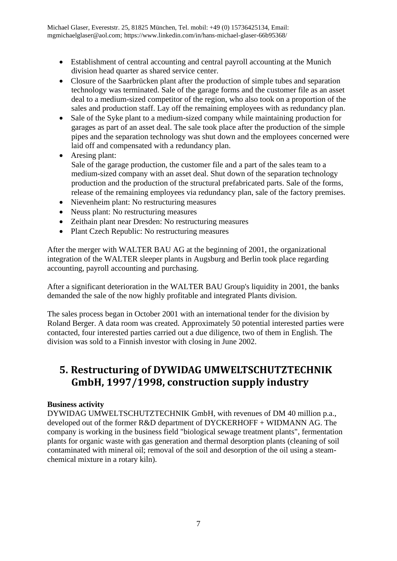- Establishment of central accounting and central payroll accounting at the Munich division head quarter as shared service center.
- Closure of the Saarbrücken plant after the production of simple tubes and separation technology was terminated. Sale of the garage forms and the customer file as an asset deal to a medium-sized competitor of the region, who also took on a proportion of the sales and production staff. Lay off the remaining employees with as redundancy plan.
- Sale of the Syke plant to a medium-sized company while maintaining production for garages as part of an asset deal. The sale took place after the production of the simple pipes and the separation technology was shut down and the employees concerned were laid off and compensated with a redundancy plan.
- Aresing plant: Sale of the garage production, the customer file and a part of the sales team to a medium-sized company with an asset deal. Shut down of the separation technology production and the production of the structural prefabricated parts. Sale of the forms, release of the remaining employees via redundancy plan, sale of the factory premises.
- Nievenheim plant: No restructuring measures
- Neuss plant: No restructuring measures
- Zeithain plant near Dresden: No restructuring measures
- Plant Czech Republic: No restructuring measures

After the merger with WALTER BAU AG at the beginning of 2001, the organizational integration of the WALTER sleeper plants in Augsburg and Berlin took place regarding accounting, payroll accounting and purchasing.

After a significant deterioration in the WALTER BAU Group's liquidity in 2001, the banks demanded the sale of the now highly profitable and integrated Plants division.

The sales process began in October 2001 with an international tender for the division by Roland Berger. A data room was created. Approximately 50 potential interested parties were contacted, four interested parties carried out a due diligence, two of them in English. The division was sold to a Finnish investor with closing in June 2002.

### **5. Restructuring of DYWIDAG UMWELTSCHUTZTECHNIK GmbH, 1997/1998, construction supply industry**

#### **Business activity**

DYWIDAG UMWELTSCHUTZTECHNIK GmbH, with revenues of DM 40 million p.a., developed out of the former R&D department of DYCKERHOFF + WIDMANN AG. The company is working in the business field "biological sewage treatment plants", fermentation plants for organic waste with gas generation and thermal desorption plants (cleaning of soil contaminated with mineral oil; removal of the soil and desorption of the oil using a steamchemical mixture in a rotary kiln).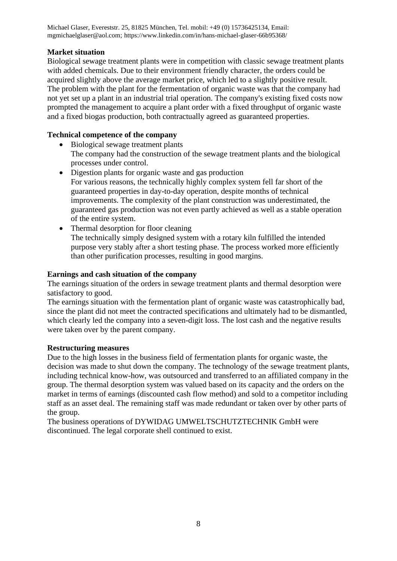Michael Glaser, Evereststr. 25, 81825 München, Tel. mobil: +49 (0) 15736425134, Email: mgmichaelglaser@aol.com; https://www.linkedin.com/in/hans-michael-glaser-66b95368/

#### **Market situation**

Biological sewage treatment plants were in competition with classic sewage treatment plants with added chemicals. Due to their environment friendly character, the orders could be acquired slightly above the average market price, which led to a slightly positive result. The problem with the plant for the fermentation of organic waste was that the company had not yet set up a plant in an industrial trial operation. The company's existing fixed costs now prompted the management to acquire a plant order with a fixed throughput of organic waste and a fixed biogas production, both contractually agreed as guaranteed properties.

#### **Technical competence of the company**

- Biological sewage treatment plants The company had the construction of the sewage treatment plants and the biological processes under control.
- Digestion plants for organic waste and gas production For various reasons, the technically highly complex system fell far short of the guaranteed properties in day-to-day operation, despite months of technical improvements. The complexity of the plant construction was underestimated, the guaranteed gas production was not even partly achieved as well as a stable operation of the entire system.
- Thermal desorption for floor cleaning The technically simply designed system with a rotary kiln fulfilled the intended purpose very stably after a short testing phase. The process worked more efficiently than other purification processes, resulting in good margins.

#### **Earnings and cash situation of the company**

The earnings situation of the orders in sewage treatment plants and thermal desorption were satisfactory to good.

The earnings situation with the fermentation plant of organic waste was catastrophically bad, since the plant did not meet the contracted specifications and ultimately had to be dismantled, which clearly led the company into a seven-digit loss. The lost cash and the negative results were taken over by the parent company.

#### **Restructuring measures**

Due to the high losses in the business field of fermentation plants for organic waste, the decision was made to shut down the company. The technology of the sewage treatment plants, including technical know-how, was outsourced and transferred to an affiliated company in the group. The thermal desorption system was valued based on its capacity and the orders on the market in terms of earnings (discounted cash flow method) and sold to a competitor including staff as an asset deal. The remaining staff was made redundant or taken over by other parts of the group.

The business operations of DYWIDAG UMWELTSCHUTZTECHNIK GmbH were discontinued. The legal corporate shell continued to exist.